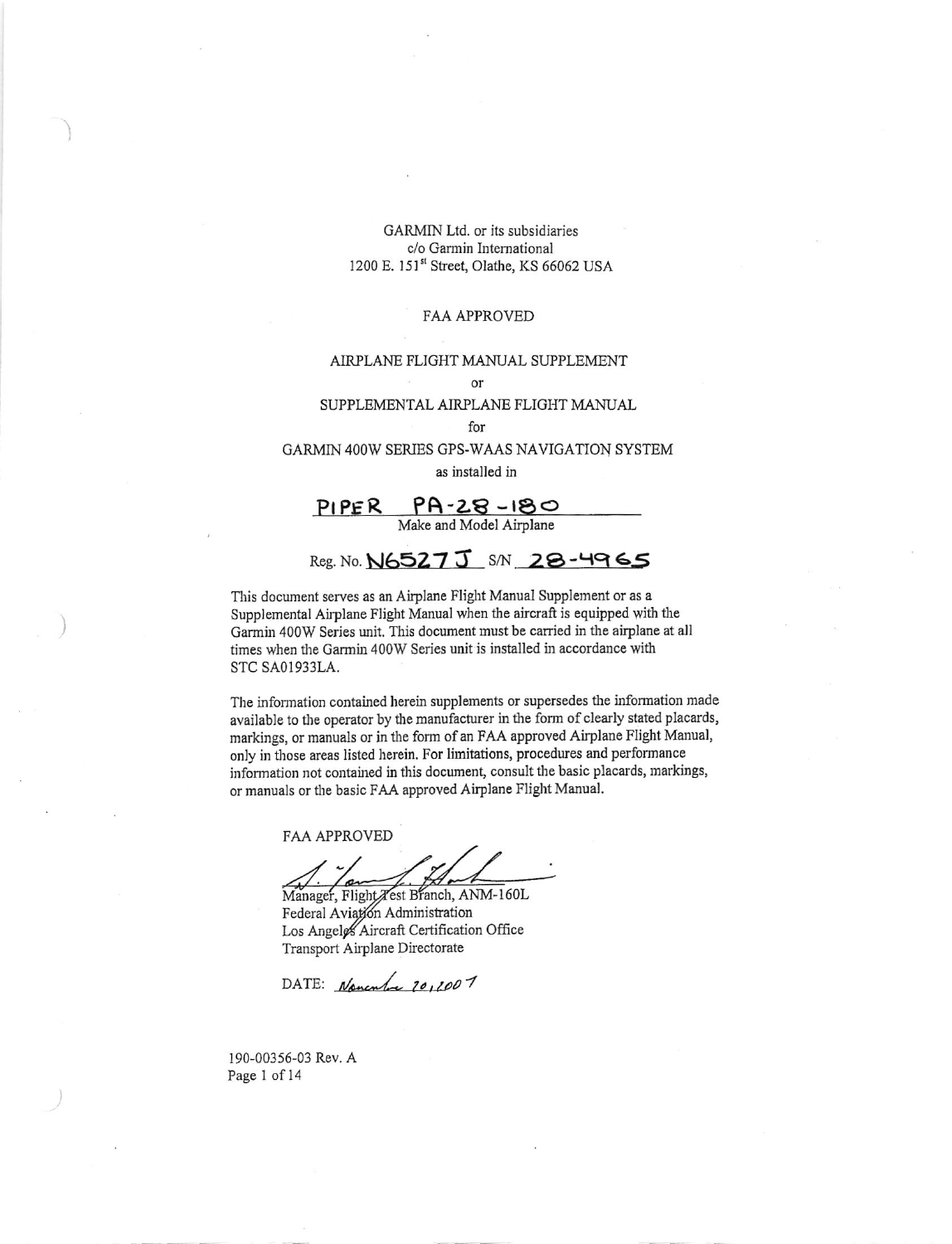#### **FAA APPROVED**

#### AIRPLANE FLIGHT MANUAL SUPPLEMENT

 $\alpha r$ 

#### SUPPLEMENTAL AIRPLANE FLIGHT MANUAL

for

GARMIN 400W SERIES GPS-WAAS NAVIGATION SYSTEM as installed in

 $PIPER$   $PR - 28 - 180$ <br>Make and Model Airplane

# Reg. No. N6527 J S/N 28-4965

This document serves as an Airplane Flight Manual Supplement or as a Supplemental Airplane Flight Manual when the aircraft is equipped with the Garmin 400W Series unit. This document must be carried in the airplane at all times when the Garmin 400W Series unit is installed in accordance with STC SA01933LA.

The information contained herein supplements or supersedes the information made available to the operator by the manufacturer in the form of clearly stated placards, markings, or manuals or in the form of an FAA approved Airplane Flight Manual, only in those areas listed herein. For limitations, procedures and performance information not contained in this document, consult the basic placards, markings, or manuals or the basic FAA approved Airplane Flight Manual.

**FAA APPROVED** 

Manager, Flight Test Branch, ANM-160L Federal Aviation Administration Los Angeles Aircraft Certification Office Transport Airplane Directorate

DATE: Nanculu 20,2007

190-00356-03 Rev. A Page 1 of 14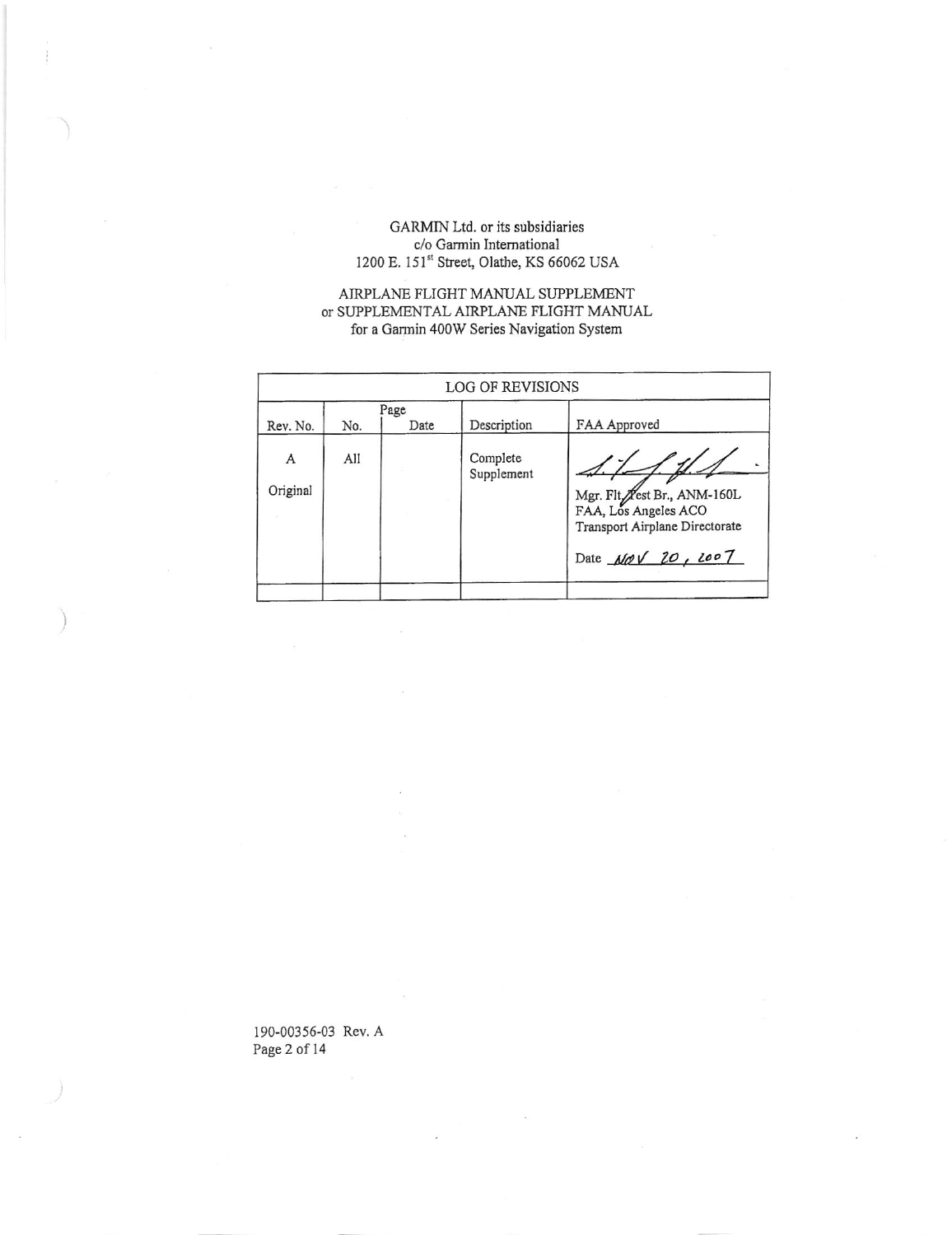## AIRPLANE FLIGHT MANUAL SUPPLEMENT or SUPPLEMENTAL AIRPLANE FLIGHT MANUAL for a Garmin 400W Series Navigation System

| No. | Date | Description            | FAA Approved                                                                                                |
|-----|------|------------------------|-------------------------------------------------------------------------------------------------------------|
| All |      | Complete<br>Supplement | Mgr. Flt. Vest Br., ANM-160L<br>FAA, Los Angeles ACO<br>Transport Airplane Directorate<br>Date NOV 20, 2007 |
|     |      | Page                   | LOG OF REVISIONS                                                                                            |

190-00356-03 Rev. A Page 2 of 14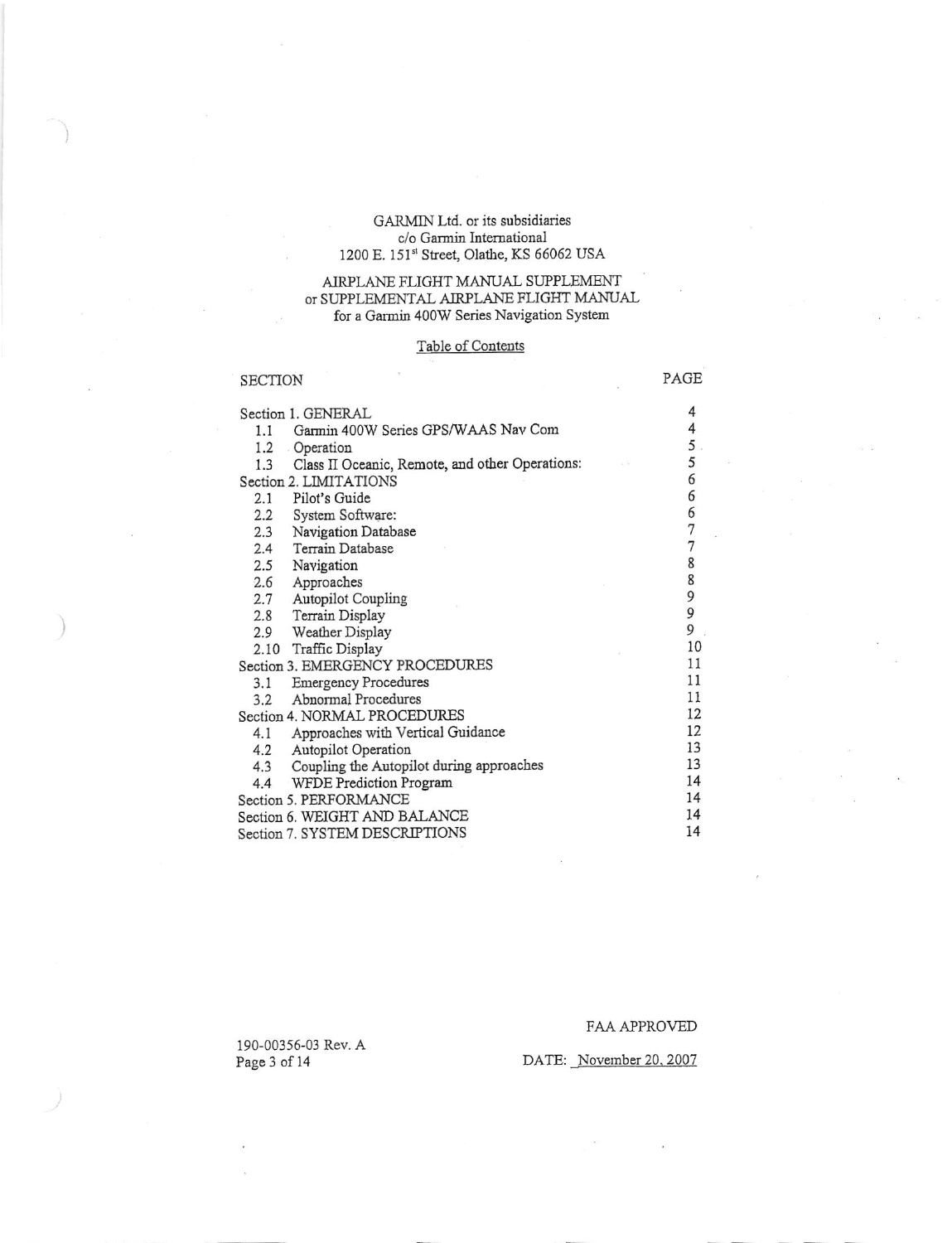### AIRPLANE FLIGHT MANUAL SUPPLEMENT OT SUPPLEMENTAL AIRPLANE FLIGHT MANUAL for a Garmin 400W Series Navigation System

# Table of Contents

|                              | <b>SECTION</b>                                                                    |  | PAGE        |
|------------------------------|-----------------------------------------------------------------------------------|--|-------------|
|                              | Section 1. GENERAL<br>Garmin 400W Series GPS/WAAS Nav Com<br>1.1<br>1.2 Operation |  | 4<br>4<br>5 |
|                              | Class II Oceanic, Remote, and other Operations:<br>1.3                            |  | 5           |
|                              | Section 2. LIMITATIONS                                                            |  | 6           |
|                              | Pilot's Guide<br>2.1                                                              |  | 6           |
|                              | System Software:<br>2.2                                                           |  | 6           |
|                              | Navigation Database<br>2.3                                                        |  | 7           |
|                              | Terrain Database<br>2.4                                                           |  | 7           |
|                              | 2.5<br>Navigation                                                                 |  | 8           |
|                              | 2.6<br>Approaches                                                                 |  | 8           |
|                              | 2.7<br><b>Autopilot Coupling</b>                                                  |  | 9           |
|                              | Terrain Display<br>2.8                                                            |  | 9           |
|                              | Weather Display<br>2.9                                                            |  | 9           |
|                              | 2.10 Traffic Display                                                              |  | 10          |
|                              | Section 3. EMERGENCY PROCEDURES                                                   |  | 11          |
|                              | <b>Emergency Procedures</b><br>3.1                                                |  | 11          |
|                              | 3.2 Abnormal Procedures                                                           |  | 11          |
| Section 4. NORMAL PROCEDURES |                                                                                   |  | 12          |
|                              | Approaches with Vertical Guidance<br>4.1                                          |  | 12          |
|                              | Autopilot Operation<br>4.2                                                        |  | 13          |
|                              | Coupling the Autopilot during approaches<br>4.3                                   |  | 13          |
|                              | WFDE Prediction Program<br>4.4                                                    |  | 14<br>14    |
|                              | Section 5. PERFORMANCE                                                            |  |             |
|                              | Section 6. WEIGHT AND BALANCE                                                     |  |             |
|                              | Section 7. SYSTEM DESCRIPTIONS                                                    |  | 14          |

190-00356-03 Rev. A Page 3 of 14

### FAA APPROVED

# DATE: November 20, 2007